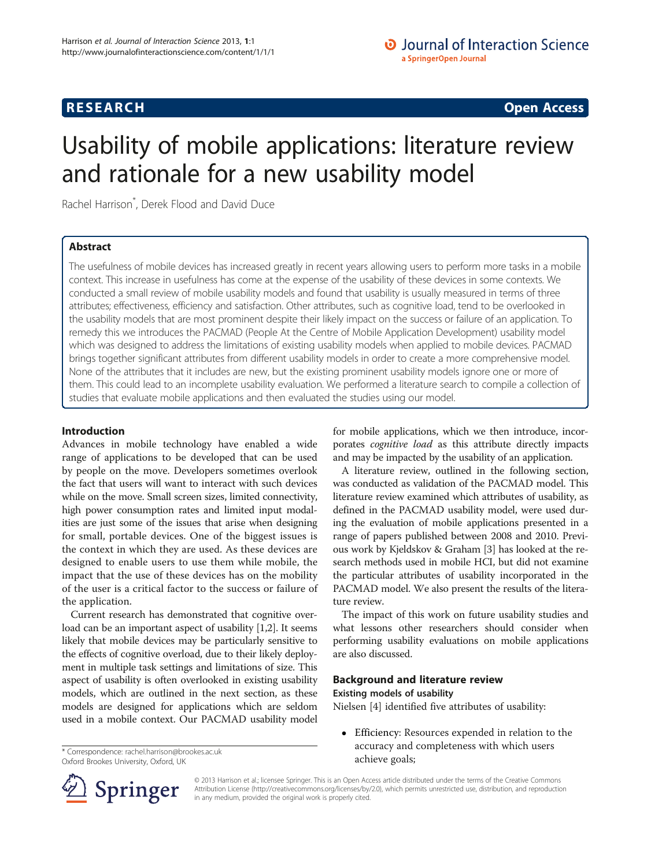## **RESEARCH RESEARCH CONSUMING ACCESS**

# Usability of mobile applications: literature review and rationale for a new usability model

Rachel Harrison\* , Derek Flood and David Duce

## Abstract

The usefulness of mobile devices has increased greatly in recent years allowing users to perform more tasks in a mobile context. This increase in usefulness has come at the expense of the usability of these devices in some contexts. We conducted a small review of mobile usability models and found that usability is usually measured in terms of three attributes; effectiveness, efficiency and satisfaction. Other attributes, such as cognitive load, tend to be overlooked in the usability models that are most prominent despite their likely impact on the success or failure of an application. To remedy this we introduces the PACMAD (People At the Centre of Mobile Application Development) usability model which was designed to address the limitations of existing usability models when applied to mobile devices. PACMAD brings together significant attributes from different usability models in order to create a more comprehensive model. None of the attributes that it includes are new, but the existing prominent usability models ignore one or more of them. This could lead to an incomplete usability evaluation. We performed a literature search to compile a collection of studies that evaluate mobile applications and then evaluated the studies using our model.

## Introduction

Advances in mobile technology have enabled a wide range of applications to be developed that can be used by people on the move. Developers sometimes overlook the fact that users will want to interact with such devices while on the move. Small screen sizes, limited connectivity, high power consumption rates and limited input modalities are just some of the issues that arise when designing for small, portable devices. One of the biggest issues is the context in which they are used. As these devices are designed to enable users to use them while mobile, the impact that the use of these devices has on the mobility of the user is a critical factor to the success or failure of the application.

Current research has demonstrated that cognitive overload can be an important aspect of usability [[1](#page-14-0),[2](#page-14-0)]. It seems likely that mobile devices may be particularly sensitive to the effects of cognitive overload, due to their likely deployment in multiple task settings and limitations of size. This aspect of usability is often overlooked in existing usability models, which are outlined in the next section, as these models are designed for applications which are seldom used in a mobile context. Our PACMAD usability model

achieve goals; \* Correspondence: [rachel.harrison@brookes.ac.uk](mailto:rachel.harrison@brookes.ac.uk) Oxford Brookes University, Oxford, UK

for mobile applications, which we then introduce, incorporates cognitive load as this attribute directly impacts and may be impacted by the usability of an application.

A literature review, outlined in the following section, was conducted as validation of the PACMAD model. This literature review examined which attributes of usability, as defined in the PACMAD usability model, were used during the evaluation of mobile applications presented in a range of papers published between 2008 and 2010. Previous work by Kjeldskov & Graham [[3](#page-14-0)] has looked at the research methods used in mobile HCI, but did not examine the particular attributes of usability incorporated in the PACMAD model. We also present the results of the literature review.

The impact of this work on future usability studies and what lessons other researchers should consider when performing usability evaluations on mobile applications are also discussed.

## Background and literature review Existing models of usability

Nielsen [\[4](#page-14-0)] identified five attributes of usability:

 Efficiency: Resources expended in relation to the accuracy and completeness with which users



© 2013 Harrison et al.; licensee Springer. This is an Open Access article distributed under the terms of the Creative Commons Attribution License [\(http://creativecommons.org/licenses/by/2.0\)](http://creativecommons.org/licenses/by/2.0), which permits unrestricted use, distribution, and reproduction in any medium, provided the original work is properly cited.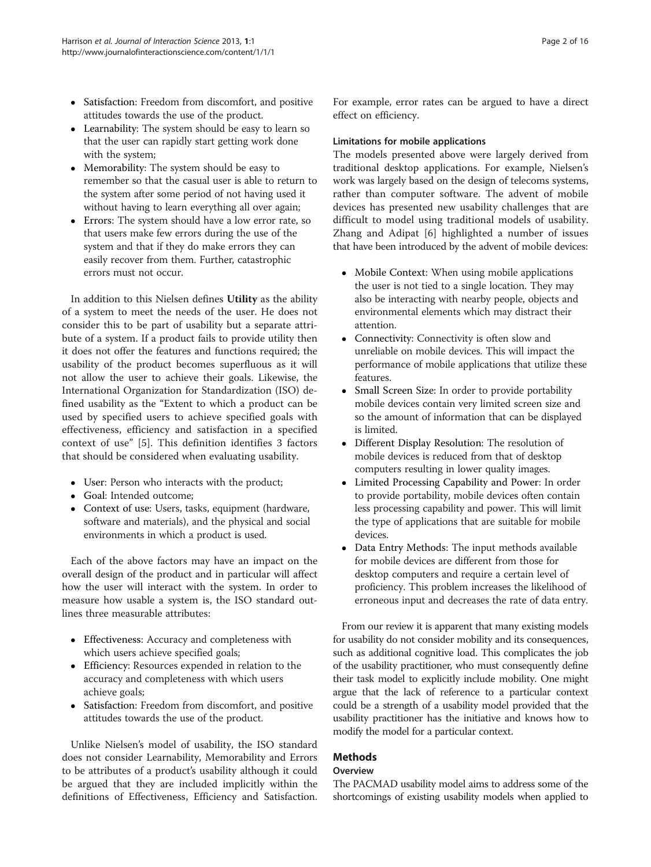- Satisfaction: Freedom from discomfort, and positive attitudes towards the use of the product.
- Learnability: The system should be easy to learn so that the user can rapidly start getting work done with the system;
- Memorability: The system should be easy to remember so that the casual user is able to return to the system after some period of not having used it without having to learn everything all over again;
- Errors: The system should have a low error rate, so that users make few errors during the use of the system and that if they do make errors they can easily recover from them. Further, catastrophic errors must not occur.

In addition to this Nielsen defines Utility as the ability of a system to meet the needs of the user. He does not consider this to be part of usability but a separate attribute of a system. If a product fails to provide utility then it does not offer the features and functions required; the usability of the product becomes superfluous as it will not allow the user to achieve their goals. Likewise, the International Organization for Standardization (ISO) defined usability as the "Extent to which a product can be used by specified users to achieve specified goals with effectiveness, efficiency and satisfaction in a specified context of use" [\[5](#page-14-0)]. This definition identifies 3 factors that should be considered when evaluating usability.

- User: Person who interacts with the product;
- Goal: Intended outcome;
- Context of use: Users, tasks, equipment (hardware, software and materials), and the physical and social environments in which a product is used.

Each of the above factors may have an impact on the overall design of the product and in particular will affect how the user will interact with the system. In order to measure how usable a system is, the ISO standard outlines three measurable attributes:

- Effectiveness: Accuracy and completeness with which users achieve specified goals;
- Efficiency: Resources expended in relation to the accuracy and completeness with which users achieve goals;
- Satisfaction: Freedom from discomfort, and positive attitudes towards the use of the product.

Unlike Nielsen's model of usability, the ISO standard does not consider Learnability, Memorability and Errors to be attributes of a product's usability although it could be argued that they are included implicitly within the definitions of Effectiveness, Efficiency and Satisfaction. For example, error rates can be argued to have a direct effect on efficiency.

#### Limitations for mobile applications

The models presented above were largely derived from traditional desktop applications. For example, Nielsen's work was largely based on the design of telecoms systems, rather than computer software. The advent of mobile devices has presented new usability challenges that are difficult to model using traditional models of usability. Zhang and Adipat [\[6](#page-14-0)] highlighted a number of issues that have been introduced by the advent of mobile devices:

- Mobile Context: When using mobile applications the user is not tied to a single location. They may also be interacting with nearby people, objects and environmental elements which may distract their attention.
- Connectivity: Connectivity is often slow and unreliable on mobile devices. This will impact the performance of mobile applications that utilize these features.
- Small Screen Size: In order to provide portability mobile devices contain very limited screen size and so the amount of information that can be displayed is limited.
- Different Display Resolution: The resolution of mobile devices is reduced from that of desktop computers resulting in lower quality images.
- Limited Processing Capability and Power: In order to provide portability, mobile devices often contain less processing capability and power. This will limit the type of applications that are suitable for mobile devices.
- Data Entry Methods: The input methods available for mobile devices are different from those for desktop computers and require a certain level of proficiency. This problem increases the likelihood of erroneous input and decreases the rate of data entry.

From our review it is apparent that many existing models for usability do not consider mobility and its consequences, such as additional cognitive load. This complicates the job of the usability practitioner, who must consequently define their task model to explicitly include mobility. One might argue that the lack of reference to a particular context could be a strength of a usability model provided that the usability practitioner has the initiative and knows how to modify the model for a particular context.

## Methods

#### **Overview**

The PACMAD usability model aims to address some of the shortcomings of existing usability models when applied to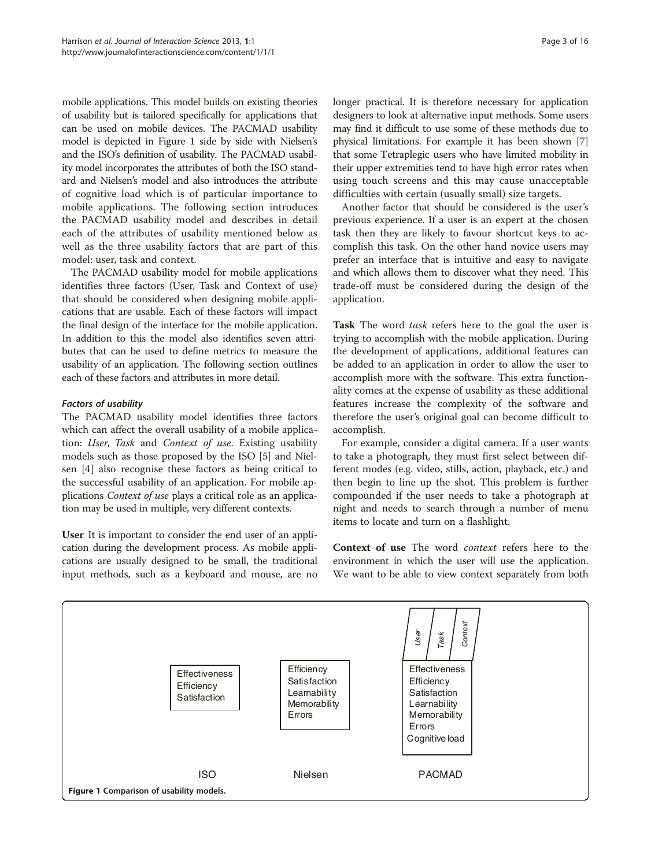mobile applications. This model builds on existing theories of usability but is tailored specifically for applications that can be used on mobile devices. The PACMAD usability model is depicted in Figure 1 side by side with Nielsen's and the ISO's definition of usability. The PACMAD usability model incorporates the attributes of both the ISO standard and Nielsen's model and also introduces the attribute of cognitive load which is of particular importance to mobile applications. The following section introduces the PACMAD usability model and describes in detail each of the attributes of usability mentioned below as well as the three usability factors that are part of this model: user, task and context.

The PACMAD usability model for mobile applications identifies three factors (User, Task and Context of use) that should be considered when designing mobile applications that are usable. Each of these factors will impact the final design of the interface for the mobile application. In addition to this the model also identifies seven attributes that can be used to define metrics to measure the usability of an application. The following section outlines each of these factors and attributes in more detail.

## Factors of usability

The PACMAD usability model identifies three factors which can affect the overall usability of a mobile application: User, Task and Context of use. Existing usability models such as those proposed by the ISO [\[5](#page-14-0)] and Nielsen [[4\]](#page-14-0) also recognise these factors as being critical to the successful usability of an application. For mobile applications Context of use plays a critical role as an application may be used in multiple, very different contexts.

User It is important to consider the end user of an application during the development process. As mobile applications are usually designed to be small, the traditional input methods, such as a keyboard and mouse, are no longer practical. It is therefore necessary for application designers to look at alternative input methods. Some users may find it difficult to use some of these methods due to physical limitations. For example it has been shown [[7](#page-14-0)] that some Tetraplegic users who have limited mobility in their upper extremities tend to have high error rates when using touch screens and this may cause unacceptable difficulties with certain (usually small) size targets.

Another factor that should be considered is the user's previous experience. If a user is an expert at the chosen task then they are likely to favour shortcut keys to accomplish this task. On the other hand novice users may prefer an interface that is intuitive and easy to navigate and which allows them to discover what they need. This trade-off must be considered during the design of the application.

Task The word task refers here to the goal the user is trying to accomplish with the mobile application. During the development of applications, additional features can be added to an application in order to allow the user to accomplish more with the software. This extra functionality comes at the expense of usability as these additional features increase the complexity of the software and therefore the user's original goal can become difficult to accomplish.

For example, consider a digital camera. If a user wants to take a photograph, they must first select between different modes (e.g. video, stills, action, playback, etc.) and then begin to line up the shot. This problem is further compounded if the user needs to take a photograph at night and needs to search through a number of menu items to locate and turn on a flashlight.

Context of use The word context refers here to the environment in which the user will use the application. We want to be able to view context separately from both

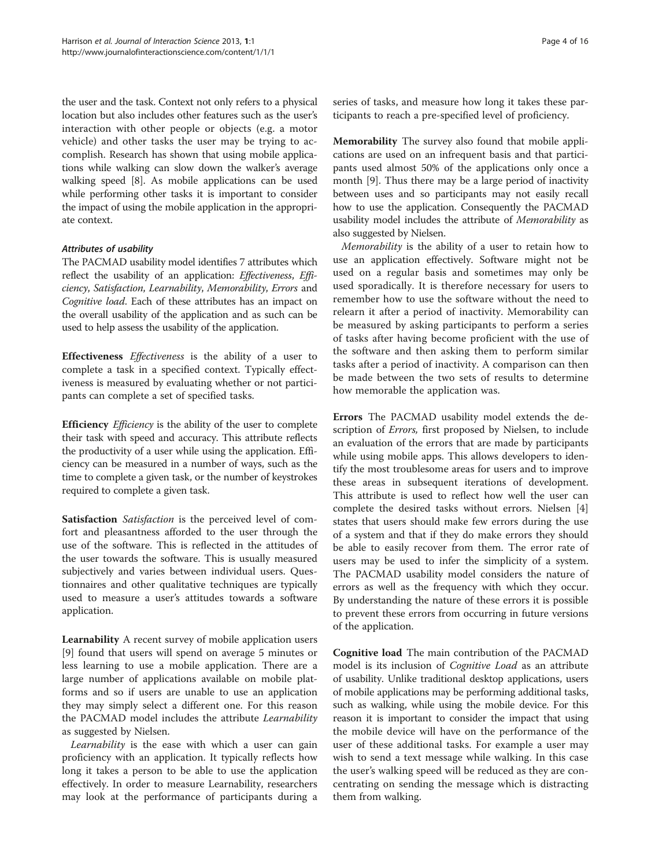the user and the task. Context not only refers to a physical location but also includes other features such as the user's interaction with other people or objects (e.g. a motor vehicle) and other tasks the user may be trying to accomplish. Research has shown that using mobile applications while walking can slow down the walker's average walking speed [\[8\]](#page-15-0). As mobile applications can be used while performing other tasks it is important to consider the impact of using the mobile application in the appropriate context.

#### Attributes of usability

The PACMAD usability model identifies 7 attributes which reflect the usability of an application: Effectiveness, Efficiency, Satisfaction, Learnability, Memorability, Errors and Cognitive load. Each of these attributes has an impact on the overall usability of the application and as such can be used to help assess the usability of the application.

Effectiveness Effectiveness is the ability of a user to complete a task in a specified context. Typically effectiveness is measured by evaluating whether or not participants can complete a set of specified tasks.

Efficiency *Efficiency* is the ability of the user to complete their task with speed and accuracy. This attribute reflects the productivity of a user while using the application. Efficiency can be measured in a number of ways, such as the time to complete a given task, or the number of keystrokes required to complete a given task.

**Satisfaction** Satisfaction is the perceived level of comfort and pleasantness afforded to the user through the use of the software. This is reflected in the attitudes of the user towards the software. This is usually measured subjectively and varies between individual users. Questionnaires and other qualitative techniques are typically used to measure a user's attitudes towards a software application.

Learnability A recent survey of mobile application users [[9\]](#page-15-0) found that users will spend on average 5 minutes or less learning to use a mobile application. There are a large number of applications available on mobile platforms and so if users are unable to use an application they may simply select a different one. For this reason the PACMAD model includes the attribute Learnability as suggested by Nielsen.

Learnability is the ease with which a user can gain proficiency with an application. It typically reflects how long it takes a person to be able to use the application effectively. In order to measure Learnability, researchers may look at the performance of participants during a series of tasks, and measure how long it takes these participants to reach a pre-specified level of proficiency.

Memorability The survey also found that mobile applications are used on an infrequent basis and that participants used almost 50% of the applications only once a month [\[9](#page-15-0)]. Thus there may be a large period of inactivity between uses and so participants may not easily recall how to use the application. Consequently the PACMAD usability model includes the attribute of Memorability as also suggested by Nielsen.

Memorability is the ability of a user to retain how to use an application effectively. Software might not be used on a regular basis and sometimes may only be used sporadically. It is therefore necessary for users to remember how to use the software without the need to relearn it after a period of inactivity. Memorability can be measured by asking participants to perform a series of tasks after having become proficient with the use of the software and then asking them to perform similar tasks after a period of inactivity. A comparison can then be made between the two sets of results to determine how memorable the application was.

Errors The PACMAD usability model extends the description of *Errors*, first proposed by Nielsen, to include an evaluation of the errors that are made by participants while using mobile apps. This allows developers to identify the most troublesome areas for users and to improve these areas in subsequent iterations of development. This attribute is used to reflect how well the user can complete the desired tasks without errors. Nielsen [\[4](#page-14-0)] states that users should make few errors during the use of a system and that if they do make errors they should be able to easily recover from them. The error rate of users may be used to infer the simplicity of a system. The PACMAD usability model considers the nature of errors as well as the frequency with which they occur. By understanding the nature of these errors it is possible to prevent these errors from occurring in future versions of the application.

Cognitive load The main contribution of the PACMAD model is its inclusion of Cognitive Load as an attribute of usability. Unlike traditional desktop applications, users of mobile applications may be performing additional tasks, such as walking, while using the mobile device. For this reason it is important to consider the impact that using the mobile device will have on the performance of the user of these additional tasks. For example a user may wish to send a text message while walking. In this case the user's walking speed will be reduced as they are concentrating on sending the message which is distracting them from walking.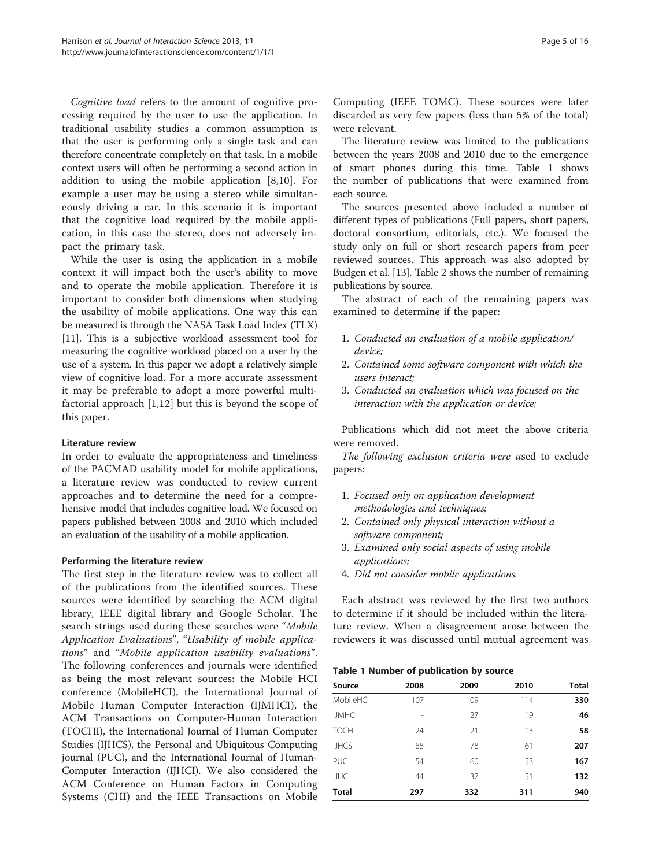Cognitive load refers to the amount of cognitive processing required by the user to use the application. In traditional usability studies a common assumption is that the user is performing only a single task and can therefore concentrate completely on that task. In a mobile context users will often be performing a second action in addition to using the mobile application [[8,10](#page-15-0)]. For example a user may be using a stereo while simultaneously driving a car. In this scenario it is important that the cognitive load required by the mobile application, in this case the stereo, does not adversely impact the primary task.

While the user is using the application in a mobile context it will impact both the user's ability to move and to operate the mobile application. Therefore it is important to consider both dimensions when studying the usability of mobile applications. One way this can be measured is through the NASA Task Load Index (TLX) [[11](#page-15-0)]. This is a subjective workload assessment tool for measuring the cognitive workload placed on a user by the use of a system. In this paper we adopt a relatively simple view of cognitive load. For a more accurate assessment it may be preferable to adopt a more powerful multifactorial approach [\[1](#page-14-0),[12\]](#page-15-0) but this is beyond the scope of this paper.

#### Literature review

In order to evaluate the appropriateness and timeliness of the PACMAD usability model for mobile applications, a literature review was conducted to review current approaches and to determine the need for a comprehensive model that includes cognitive load. We focused on papers published between 2008 and 2010 which included an evaluation of the usability of a mobile application.

#### Performing the literature review

The first step in the literature review was to collect all of the publications from the identified sources. These sources were identified by searching the ACM digital library, IEEE digital library and Google Scholar. The search strings used during these searches were "Mobile Application Evaluations", "Usability of mobile applications" and "Mobile application usability evaluations". The following conferences and journals were identified as being the most relevant sources: the Mobile HCI conference (MobileHCI), the International Journal of Mobile Human Computer Interaction (IJMHCI), the ACM Transactions on Computer-Human Interaction (TOCHI), the International Journal of Human Computer Studies (IJHCS), the Personal and Ubiquitous Computing journal (PUC), and the International Journal of Human-Computer Interaction (IJHCI). We also considered the ACM Conference on Human Factors in Computing Systems (CHI) and the IEEE Transactions on Mobile Computing (IEEE TOMC). These sources were later discarded as very few papers (less than 5% of the total) were relevant.

The literature review was limited to the publications between the years 2008 and 2010 due to the emergence of smart phones during this time. Table 1 shows the number of publications that were examined from each source.

The sources presented above included a number of different types of publications (Full papers, short papers, doctoral consortium, editorials, etc.). We focused the study only on full or short research papers from peer reviewed sources. This approach was also adopted by Budgen et al. [\[13\]](#page-15-0). Table [2](#page-5-0) shows the number of remaining publications by source.

The abstract of each of the remaining papers was examined to determine if the paper:

- 1. Conducted an evaluation of a mobile application/ device;
- 2. Contained some software component with which the users interact;
- 3. Conducted an evaluation which was focused on the interaction with the application or device;

Publications which did not meet the above criteria were removed.

The following exclusion criteria were used to exclude papers:

- 1. Focused only on application development methodologies and techniques;
- 2. Contained only physical interaction without a software component;
- 3. Examined only social aspects of using mobile applications;
- 4. Did not consider mobile applications.

Each abstract was reviewed by the first two authors to determine if it should be included within the literature review. When a disagreement arose between the reviewers it was discussed until mutual agreement was

#### Table 1 Number of publication by source

| Source        | 2008 | 2009 | 2010 | <b>Total</b> |
|---------------|------|------|------|--------------|
| MobileHCl     | 107  | 109  | 114  | 330          |
| <b>IJMHCI</b> |      | 27   | 19   | 46           |
| <b>TOCHI</b>  | 24   | 21   | 13   | 58           |
| <b>IJHCS</b>  | 68   | 78   | 61   | 207          |
| <b>PUC</b>    | 54   | 60   | 53   | 167          |
| <b>IJHCI</b>  | 44   | 37   | 51   | 132          |
| <b>Total</b>  | 297  | 332  | 311  | 940          |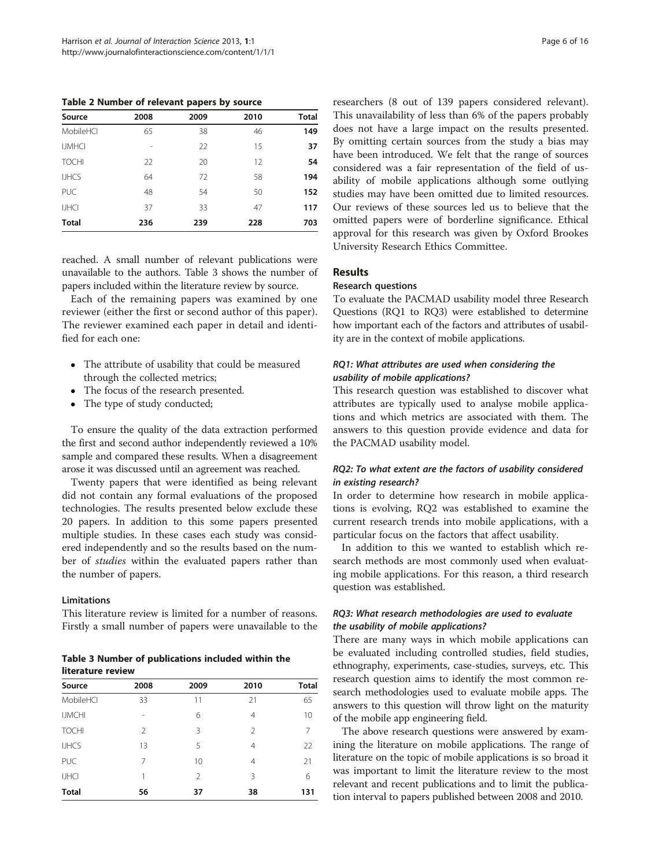<span id="page-5-0"></span>Table 2 Number of relevant papers by source

| Source        | 2008 | 2009 | 2010 | Total |
|---------------|------|------|------|-------|
| MobileHCI     | 65   | 38   | 46   | 149   |
| <b>IJMHCI</b> | -    | 22   | 15   | 37    |
| <b>TOCHI</b>  | 22   | 20   | 12   | 54    |
| <b>UHCS</b>   | 64   | 72   | 58   | 194   |
| <b>PUC</b>    | 48   | 54   | 50   | 152   |
| <b>IJHCI</b>  | 37   | 33   | 47   | 117   |
| <b>Total</b>  | 236  | 239  | 228  | 703   |

reached. A small number of relevant publications were unavailable to the authors. Table 3 shows the number of papers included within the literature review by source.

Each of the remaining papers was examined by one reviewer (either the first or second author of this paper). The reviewer examined each paper in detail and identified for each one:

- The attribute of usability that could be measured through the collected metrics;
- The focus of the research presented.
- The type of study conducted;

To ensure the quality of the data extraction performed the first and second author independently reviewed a 10% sample and compared these results. When a disagreement arose it was discussed until an agreement was reached.

Twenty papers that were identified as being relevant did not contain any formal evaluations of the proposed technologies. The results presented below exclude these 20 papers. In addition to this some papers presented multiple studies. In these cases each study was considered independently and so the results based on the number of studies within the evaluated papers rather than the number of papers.

#### Limitations

This literature review is limited for a number of reasons. Firstly a small number of papers were unavailable to the

Table 3 Number of publications included within the literature review

| Source        | 2008           | 2009           | 2010           | <b>Total</b> |
|---------------|----------------|----------------|----------------|--------------|
| MobileHCI     | 33             | 11             | 21             | 65           |
| <b>IJMCHI</b> | ÷              | 6              | 4              | 10           |
| <b>TOCHI</b>  | $\mathfrak{D}$ | ξ              | $\mathfrak{D}$ | 7            |
| <b>IJHCS</b>  | 13             | 5              | 4              | 22           |
| <b>PUC</b>    | 7              | 10             | 4              | 21           |
| <b>IJHCI</b>  |                | $\mathfrak{D}$ | 3              | 6            |
| <b>Total</b>  | 56             | 37             | 38             | 131          |

researchers (8 out of 139 papers considered relevant). This unavailability of less than 6% of the papers probably does not have a large impact on the results presented. By omitting certain sources from the study a bias may have been introduced. We felt that the range of sources considered was a fair representation of the field of usability of mobile applications although some outlying studies may have been omitted due to limited resources. Our reviews of these sources led us to believe that the omitted papers were of borderline significance. Ethical approval for this research was given by Oxford Brookes University Research Ethics Committee.

#### Results

#### Research questions

To evaluate the PACMAD usability model three Research Questions (RQ1 to RQ3) were established to determine how important each of the factors and attributes of usability are in the context of mobile applications.

#### RQ1: What attributes are used when considering the usability of mobile applications?

This research question was established to discover what attributes are typically used to analyse mobile applications and which metrics are associated with them. The answers to this question provide evidence and data for the PACMAD usability model.

## RQ2: To what extent are the factors of usability considered in existing research?

In order to determine how research in mobile applications is evolving, RQ2 was established to examine the current research trends into mobile applications, with a particular focus on the factors that affect usability.

In addition to this we wanted to establish which research methods are most commonly used when evaluating mobile applications. For this reason, a third research question was established.

## RQ3: What research methodologies are used to evaluate the usability of mobile applications?

There are many ways in which mobile applications can be evaluated including controlled studies, field studies, ethnography, experiments, case-studies, surveys, etc. This research question aims to identify the most common research methodologies used to evaluate mobile apps. The answers to this question will throw light on the maturity of the mobile app engineering field.

The above research questions were answered by examining the literature on mobile applications. The range of literature on the topic of mobile applications is so broad it was important to limit the literature review to the most relevant and recent publications and to limit the publication interval to papers published between 2008 and 2010.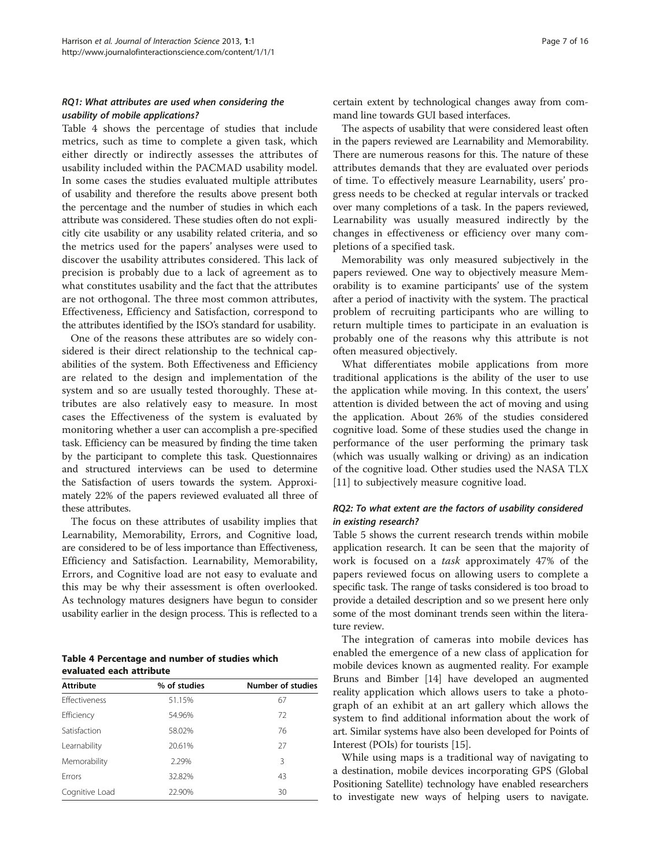#### RQ1: What attributes are used when considering the usability of mobile applications?

Table 4 shows the percentage of studies that include metrics, such as time to complete a given task, which either directly or indirectly assesses the attributes of usability included within the PACMAD usability model. In some cases the studies evaluated multiple attributes of usability and therefore the results above present both the percentage and the number of studies in which each attribute was considered. These studies often do not explicitly cite usability or any usability related criteria, and so the metrics used for the papers' analyses were used to discover the usability attributes considered. This lack of precision is probably due to a lack of agreement as to what constitutes usability and the fact that the attributes are not orthogonal. The three most common attributes, Effectiveness, Efficiency and Satisfaction, correspond to the attributes identified by the ISO's standard for usability.

One of the reasons these attributes are so widely considered is their direct relationship to the technical capabilities of the system. Both Effectiveness and Efficiency are related to the design and implementation of the system and so are usually tested thoroughly. These attributes are also relatively easy to measure. In most cases the Effectiveness of the system is evaluated by monitoring whether a user can accomplish a pre-specified task. Efficiency can be measured by finding the time taken by the participant to complete this task. Questionnaires and structured interviews can be used to determine the Satisfaction of users towards the system. Approximately 22% of the papers reviewed evaluated all three of these attributes.

The focus on these attributes of usability implies that Learnability, Memorability, Errors, and Cognitive load, are considered to be of less importance than Effectiveness, Efficiency and Satisfaction. Learnability, Memorability, Errors, and Cognitive load are not easy to evaluate and this may be why their assessment is often overlooked. As technology matures designers have begun to consider usability earlier in the design process. This is reflected to a

Table 4 Percentage and number of studies which evaluated each attribute

| <b>Attribute</b>     | % of studies | <b>Number of studies</b> |
|----------------------|--------------|--------------------------|
| <b>Effectiveness</b> | 51.15%       | 67                       |
| Efficiency           | 54.96%       | 72                       |
| Satisfaction         | 58.02%       | 76                       |
| Learnability         | 20.61%       | 27                       |
| Memorability         | 2.29%        | 3                        |
| <b>Frrors</b>        | 32.82%       | 43                       |
| Cognitive Load       | 22.90%       | 30                       |

The aspects of usability that were considered least often in the papers reviewed are Learnability and Memorability. There are numerous reasons for this. The nature of these attributes demands that they are evaluated over periods of time. To effectively measure Learnability, users' progress needs to be checked at regular intervals or tracked over many completions of a task. In the papers reviewed, Learnability was usually measured indirectly by the changes in effectiveness or efficiency over many completions of a specified task.

Memorability was only measured subjectively in the papers reviewed. One way to objectively measure Memorability is to examine participants' use of the system after a period of inactivity with the system. The practical problem of recruiting participants who are willing to return multiple times to participate in an evaluation is probably one of the reasons why this attribute is not often measured objectively.

What differentiates mobile applications from more traditional applications is the ability of the user to use the application while moving. In this context, the users' attention is divided between the act of moving and using the application. About 26% of the studies considered cognitive load. Some of these studies used the change in performance of the user performing the primary task (which was usually walking or driving) as an indication of the cognitive load. Other studies used the NASA TLX [[11\]](#page-15-0) to subjectively measure cognitive load.

## RQ2: To what extent are the factors of usability considered in existing research?

Table [5](#page-7-0) shows the current research trends within mobile application research. It can be seen that the majority of work is focused on a task approximately 47% of the papers reviewed focus on allowing users to complete a specific task. The range of tasks considered is too broad to provide a detailed description and so we present here only some of the most dominant trends seen within the literature review.

The integration of cameras into mobile devices has enabled the emergence of a new class of application for mobile devices known as augmented reality. For example Bruns and Bimber [[14](#page-15-0)] have developed an augmented reality application which allows users to take a photograph of an exhibit at an art gallery which allows the system to find additional information about the work of art. Similar systems have also been developed for Points of Interest (POIs) for tourists [\[15\]](#page-15-0).

While using maps is a traditional way of navigating to a destination, mobile devices incorporating GPS (Global Positioning Satellite) technology have enabled researchers to investigate new ways of helping users to navigate.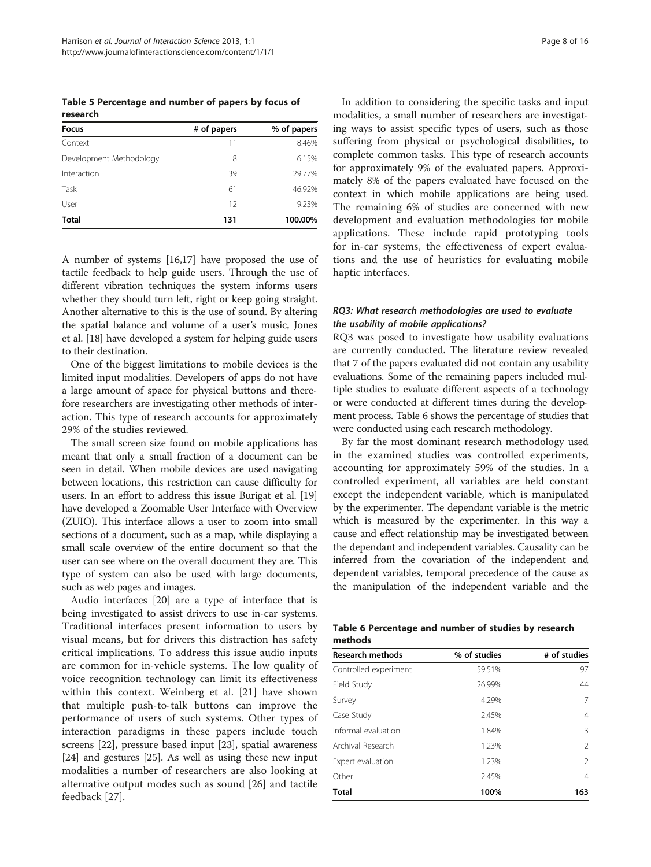<span id="page-7-0"></span>Table 5 Percentage and number of papers by focus of research

| <b>Focus</b>            | # of papers | % of papers |
|-------------------------|-------------|-------------|
| Context                 | 11          | 8.46%       |
| Development Methodology | 8           | 6.15%       |
| Interaction             | 39          | 29.77%      |
| Task                    | 61          | 46.92%      |
| User                    | 12          | 9.23%       |
| <b>Total</b>            | 131         | 100.00%     |

A number of systems [[16](#page-15-0),[17](#page-15-0)] have proposed the use of tactile feedback to help guide users. Through the use of different vibration techniques the system informs users whether they should turn left, right or keep going straight. Another alternative to this is the use of sound. By altering the spatial balance and volume of a user's music, Jones et al. [[18](#page-15-0)] have developed a system for helping guide users to their destination.

One of the biggest limitations to mobile devices is the limited input modalities. Developers of apps do not have a large amount of space for physical buttons and therefore researchers are investigating other methods of interaction. This type of research accounts for approximately 29% of the studies reviewed.

The small screen size found on mobile applications has meant that only a small fraction of a document can be seen in detail. When mobile devices are used navigating between locations, this restriction can cause difficulty for users. In an effort to address this issue Burigat et al. [[19](#page-15-0)] have developed a Zoomable User Interface with Overview (ZUIO). This interface allows a user to zoom into small sections of a document, such as a map, while displaying a small scale overview of the entire document so that the user can see where on the overall document they are. This type of system can also be used with large documents, such as web pages and images.

Audio interfaces [[20\]](#page-15-0) are a type of interface that is being investigated to assist drivers to use in-car systems. Traditional interfaces present information to users by visual means, but for drivers this distraction has safety critical implications. To address this issue audio inputs are common for in-vehicle systems. The low quality of voice recognition technology can limit its effectiveness within this context. Weinberg et al. [[21\]](#page-15-0) have shown that multiple push-to-talk buttons can improve the performance of users of such systems. Other types of interaction paradigms in these papers include touch screens [[22](#page-15-0)], pressure based input [[23](#page-15-0)], spatial awareness [[24](#page-15-0)] and gestures [\[25](#page-15-0)]. As well as using these new input modalities a number of researchers are also looking at alternative output modes such as sound [\[26](#page-15-0)] and tactile feedback [[27](#page-15-0)].

In addition to considering the specific tasks and input modalities, a small number of researchers are investigating ways to assist specific types of users, such as those suffering from physical or psychological disabilities, to complete common tasks. This type of research accounts for approximately 9% of the evaluated papers. Approximately 8% of the papers evaluated have focused on the context in which mobile applications are being used. The remaining 6% of studies are concerned with new development and evaluation methodologies for mobile applications. These include rapid prototyping tools for in-car systems, the effectiveness of expert evaluations and the use of heuristics for evaluating mobile haptic interfaces.

#### RQ3: What research methodologies are used to evaluate the usability of mobile applications?

RQ3 was posed to investigate how usability evaluations are currently conducted. The literature review revealed that 7 of the papers evaluated did not contain any usability evaluations. Some of the remaining papers included multiple studies to evaluate different aspects of a technology or were conducted at different times during the development process. Table 6 shows the percentage of studies that were conducted using each research methodology.

By far the most dominant research methodology used in the examined studies was controlled experiments, accounting for approximately 59% of the studies. In a controlled experiment, all variables are held constant except the independent variable, which is manipulated by the experimenter. The dependant variable is the metric which is measured by the experimenter. In this way a cause and effect relationship may be investigated between the dependant and independent variables. Causality can be inferred from the covariation of the independent and dependent variables, temporal precedence of the cause as the manipulation of the independent variable and the

| Table 6 Percentage and number of studies by research |  |  |
|------------------------------------------------------|--|--|
| methods                                              |  |  |

| <b>Research methods</b> | % of studies | # of studies   |
|-------------------------|--------------|----------------|
| Controlled experiment   | 59.51%       | 97             |
| Field Study             | 26.99%       | 44             |
| Survey                  | 4.29%        | 7              |
| Case Study              | 2.45%        | 4              |
| Informal evaluation     | 1.84%        | 3              |
| Archival Research       | 1.23%        | 2              |
| Expert evaluation       | 1.23%        | 2              |
| Other                   | 2.45%        | $\overline{4}$ |
| Total                   | 100%         | 163            |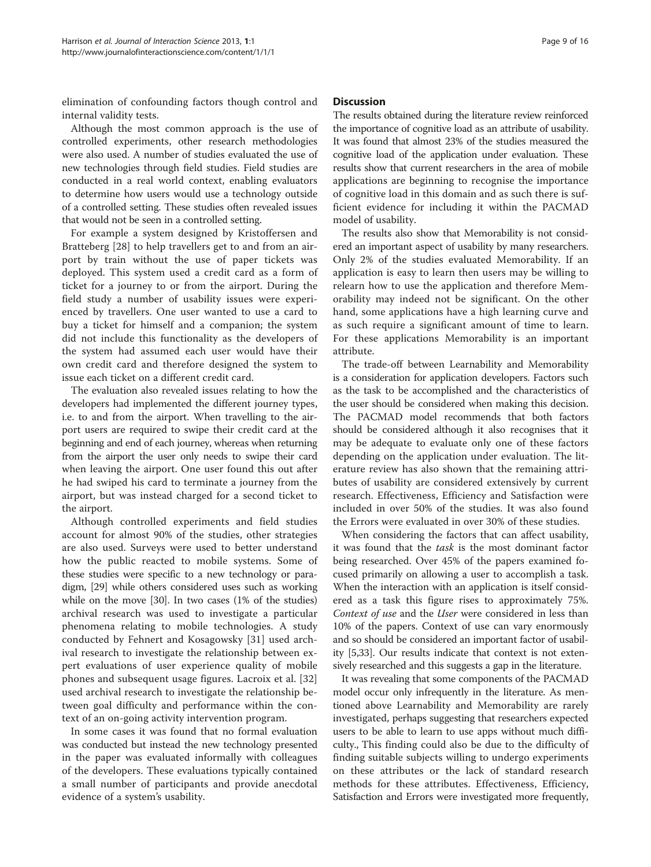elimination of confounding factors though control and internal validity tests.

Although the most common approach is the use of controlled experiments, other research methodologies were also used. A number of studies evaluated the use of new technologies through field studies. Field studies are conducted in a real world context, enabling evaluators to determine how users would use a technology outside of a controlled setting. These studies often revealed issues that would not be seen in a controlled setting.

For example a system designed by Kristoffersen and Bratteberg [\[28](#page-15-0)] to help travellers get to and from an airport by train without the use of paper tickets was deployed. This system used a credit card as a form of ticket for a journey to or from the airport. During the field study a number of usability issues were experienced by travellers. One user wanted to use a card to buy a ticket for himself and a companion; the system did not include this functionality as the developers of the system had assumed each user would have their own credit card and therefore designed the system to issue each ticket on a different credit card.

The evaluation also revealed issues relating to how the developers had implemented the different journey types, i.e. to and from the airport. When travelling to the airport users are required to swipe their credit card at the beginning and end of each journey, whereas when returning from the airport the user only needs to swipe their card when leaving the airport. One user found this out after he had swiped his card to terminate a journey from the airport, but was instead charged for a second ticket to the airport.

Although controlled experiments and field studies account for almost 90% of the studies, other strategies are also used. Surveys were used to better understand how the public reacted to mobile systems. Some of these studies were specific to a new technology or paradigm, [[29\]](#page-15-0) while others considered uses such as working while on the move [\[30](#page-15-0)]. In two cases (1% of the studies) archival research was used to investigate a particular phenomena relating to mobile technologies. A study conducted by Fehnert and Kosagowsky [\[31](#page-15-0)] used archival research to investigate the relationship between expert evaluations of user experience quality of mobile phones and subsequent usage figures. Lacroix et al. [\[32](#page-15-0)] used archival research to investigate the relationship between goal difficulty and performance within the context of an on-going activity intervention program.

In some cases it was found that no formal evaluation was conducted but instead the new technology presented in the paper was evaluated informally with colleagues of the developers. These evaluations typically contained a small number of participants and provide anecdotal evidence of a system's usability.

#### **Discussion**

The results obtained during the literature review reinforced the importance of cognitive load as an attribute of usability. It was found that almost 23% of the studies measured the cognitive load of the application under evaluation. These results show that current researchers in the area of mobile applications are beginning to recognise the importance of cognitive load in this domain and as such there is sufficient evidence for including it within the PACMAD model of usability.

The results also show that Memorability is not considered an important aspect of usability by many researchers. Only 2% of the studies evaluated Memorability. If an application is easy to learn then users may be willing to relearn how to use the application and therefore Memorability may indeed not be significant. On the other hand, some applications have a high learning curve and as such require a significant amount of time to learn. For these applications Memorability is an important attribute.

The trade-off between Learnability and Memorability is a consideration for application developers. Factors such as the task to be accomplished and the characteristics of the user should be considered when making this decision. The PACMAD model recommends that both factors should be considered although it also recognises that it may be adequate to evaluate only one of these factors depending on the application under evaluation. The literature review has also shown that the remaining attributes of usability are considered extensively by current research. Effectiveness, Efficiency and Satisfaction were included in over 50% of the studies. It was also found the Errors were evaluated in over 30% of these studies.

When considering the factors that can affect usability, it was found that the task is the most dominant factor being researched. Over 45% of the papers examined focused primarily on allowing a user to accomplish a task. When the interaction with an application is itself considered as a task this figure rises to approximately 75%. Context of use and the User were considered in less than 10% of the papers. Context of use can vary enormously and so should be considered an important factor of usability [[5](#page-14-0)[,33](#page-15-0)]. Our results indicate that context is not extensively researched and this suggests a gap in the literature.

It was revealing that some components of the PACMAD model occur only infrequently in the literature. As mentioned above Learnability and Memorability are rarely investigated, perhaps suggesting that researchers expected users to be able to learn to use apps without much difficulty., This finding could also be due to the difficulty of finding suitable subjects willing to undergo experiments on these attributes or the lack of standard research methods for these attributes. Effectiveness, Efficiency, Satisfaction and Errors were investigated more frequently,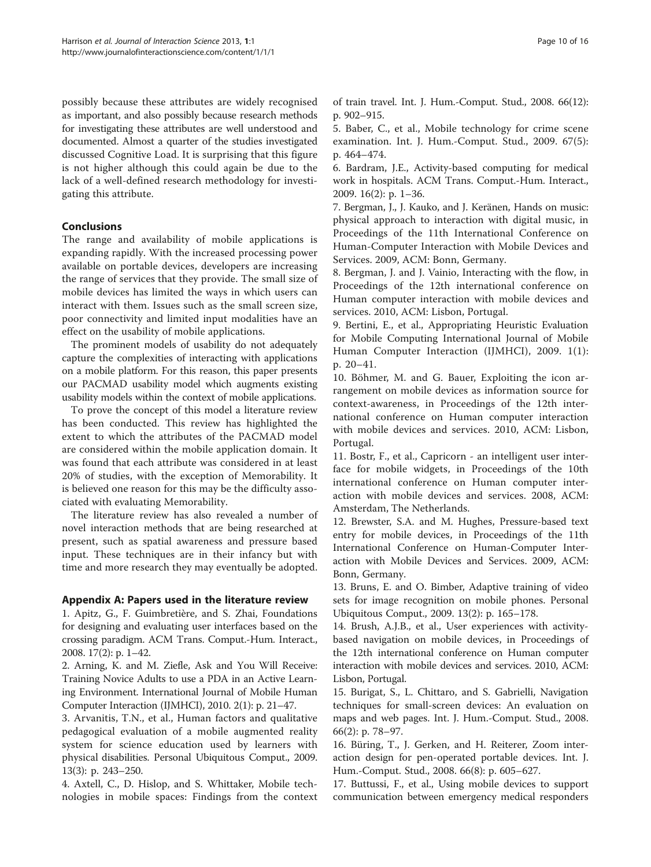possibly because these attributes are widely recognised as important, and also possibly because research methods for investigating these attributes are well understood and documented. Almost a quarter of the studies investigated discussed Cognitive Load. It is surprising that this figure is not higher although this could again be due to the lack of a well-defined research methodology for investigating this attribute.

## Conclusions

The range and availability of mobile applications is expanding rapidly. With the increased processing power available on portable devices, developers are increasing the range of services that they provide. The small size of mobile devices has limited the ways in which users can interact with them. Issues such as the small screen size, poor connectivity and limited input modalities have an effect on the usability of mobile applications.

The prominent models of usability do not adequately capture the complexities of interacting with applications on a mobile platform. For this reason, this paper presents our PACMAD usability model which augments existing usability models within the context of mobile applications.

To prove the concept of this model a literature review has been conducted. This review has highlighted the extent to which the attributes of the PACMAD model are considered within the mobile application domain. It was found that each attribute was considered in at least 20% of studies, with the exception of Memorability. It is believed one reason for this may be the difficulty associated with evaluating Memorability.

The literature review has also revealed a number of novel interaction methods that are being researched at present, such as spatial awareness and pressure based input. These techniques are in their infancy but with time and more research they may eventually be adopted.

#### Appendix A: Papers used in the literature review

1. Apitz, G., F. Guimbretière, and S. Zhai, Foundations for designing and evaluating user interfaces based on the crossing paradigm. ACM Trans. Comput.-Hum. Interact., 2008. 17(2): p. 1–42.

2. Arning, K. and M. Ziefle, Ask and You Will Receive: Training Novice Adults to use a PDA in an Active Learning Environment. International Journal of Mobile Human Computer Interaction (IJMHCI), 2010. 2(1): p. 21–47.

3. Arvanitis, T.N., et al., Human factors and qualitative pedagogical evaluation of a mobile augmented reality system for science education used by learners with physical disabilities. Personal Ubiquitous Comput., 2009. 13(3): p. 243–250.

4. Axtell, C., D. Hislop, and S. Whittaker, Mobile technologies in mobile spaces: Findings from the context of train travel. Int. J. Hum.-Comput. Stud., 2008. 66(12): p. 902–915.

5. Baber, C., et al., Mobile technology for crime scene examination. Int. J. Hum.-Comput. Stud., 2009. 67(5): p. 464–474.

6. Bardram, J.E., Activity-based computing for medical work in hospitals. ACM Trans. Comput.-Hum. Interact., 2009. 16(2): p. 1–36.

7. Bergman, J., J. Kauko, and J. Keränen, Hands on music: physical approach to interaction with digital music, in Proceedings of the 11th International Conference on Human-Computer Interaction with Mobile Devices and Services. 2009, ACM: Bonn, Germany.

8. Bergman, J. and J. Vainio, Interacting with the flow, in Proceedings of the 12th international conference on Human computer interaction with mobile devices and services. 2010, ACM: Lisbon, Portugal.

9. Bertini, E., et al., Appropriating Heuristic Evaluation for Mobile Computing International Journal of Mobile Human Computer Interaction (IJMHCI), 2009. 1(1): p. 20–41.

10. Böhmer, M. and G. Bauer, Exploiting the icon arrangement on mobile devices as information source for context-awareness, in Proceedings of the 12th international conference on Human computer interaction with mobile devices and services. 2010, ACM: Lisbon, Portugal.

11. Bostr, F., et al., Capricorn - an intelligent user interface for mobile widgets, in Proceedings of the 10th international conference on Human computer interaction with mobile devices and services. 2008, ACM: Amsterdam, The Netherlands.

12. Brewster, S.A. and M. Hughes, Pressure-based text entry for mobile devices, in Proceedings of the 11th International Conference on Human-Computer Interaction with Mobile Devices and Services. 2009, ACM: Bonn, Germany.

13. Bruns, E. and O. Bimber, Adaptive training of video sets for image recognition on mobile phones. Personal Ubiquitous Comput., 2009. 13(2): p. 165–178.

14. Brush, A.J.B., et al., User experiences with activitybased navigation on mobile devices, in Proceedings of the 12th international conference on Human computer interaction with mobile devices and services. 2010, ACM: Lisbon, Portugal.

15. Burigat, S., L. Chittaro, and S. Gabrielli, Navigation techniques for small-screen devices: An evaluation on maps and web pages. Int. J. Hum.-Comput. Stud., 2008. 66(2): p. 78–97.

16. Büring, T., J. Gerken, and H. Reiterer, Zoom interaction design for pen-operated portable devices. Int. J. Hum.-Comput. Stud., 2008. 66(8): p. 605–627.

17. Buttussi, F., et al., Using mobile devices to support communication between emergency medical responders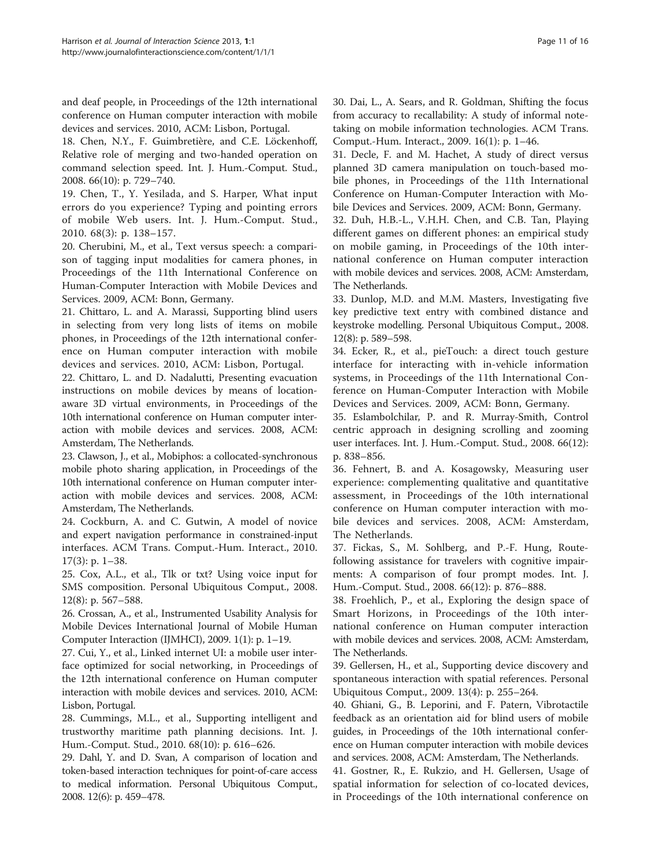and deaf people, in Proceedings of the 12th international conference on Human computer interaction with mobile devices and services. 2010, ACM: Lisbon, Portugal.

18. Chen, N.Y., F. Guimbretière, and C.E. Löckenhoff, Relative role of merging and two-handed operation on command selection speed. Int. J. Hum.-Comput. Stud., 2008. 66(10): p. 729–740.

19. Chen, T., Y. Yesilada, and S. Harper, What input errors do you experience? Typing and pointing errors of mobile Web users. Int. J. Hum.-Comput. Stud., 2010. 68(3): p. 138–157.

20. Cherubini, M., et al., Text versus speech: a comparison of tagging input modalities for camera phones, in Proceedings of the 11th International Conference on Human-Computer Interaction with Mobile Devices and Services. 2009, ACM: Bonn, Germany.

21. Chittaro, L. and A. Marassi, Supporting blind users in selecting from very long lists of items on mobile phones, in Proceedings of the 12th international conference on Human computer interaction with mobile devices and services. 2010, ACM: Lisbon, Portugal.

22. Chittaro, L. and D. Nadalutti, Presenting evacuation instructions on mobile devices by means of locationaware 3D virtual environments, in Proceedings of the 10th international conference on Human computer interaction with mobile devices and services. 2008, ACM: Amsterdam, The Netherlands.

23. Clawson, J., et al., Mobiphos: a collocated-synchronous mobile photo sharing application, in Proceedings of the 10th international conference on Human computer interaction with mobile devices and services. 2008, ACM: Amsterdam, The Netherlands.

24. Cockburn, A. and C. Gutwin, A model of novice and expert navigation performance in constrained-input interfaces. ACM Trans. Comput.-Hum. Interact., 2010. 17(3): p. 1–38.

25. Cox, A.L., et al., Tlk or txt? Using voice input for SMS composition. Personal Ubiquitous Comput., 2008. 12(8): p. 567–588.

26. Crossan, A., et al., Instrumented Usability Analysis for Mobile Devices International Journal of Mobile Human Computer Interaction (IJMHCI), 2009. 1(1): p. 1–19.

27. Cui, Y., et al., Linked internet UI: a mobile user interface optimized for social networking, in Proceedings of the 12th international conference on Human computer interaction with mobile devices and services. 2010, ACM: Lisbon, Portugal.

28. Cummings, M.L., et al., Supporting intelligent and trustworthy maritime path planning decisions. Int. J. Hum.-Comput. Stud., 2010. 68(10): p. 616–626.

29. Dahl, Y. and D. Svan, A comparison of location and token-based interaction techniques for point-of-care access to medical information. Personal Ubiquitous Comput., 2008. 12(6): p. 459–478.

30. Dai, L., A. Sears, and R. Goldman, Shifting the focus from accuracy to recallability: A study of informal notetaking on mobile information technologies. ACM Trans. Comput.-Hum. Interact., 2009. 16(1): p. 1–46.

31. Decle, F. and M. Hachet, A study of direct versus planned 3D camera manipulation on touch-based mobile phones, in Proceedings of the 11th International Conference on Human-Computer Interaction with Mobile Devices and Services. 2009, ACM: Bonn, Germany.

32. Duh, H.B.-L., V.H.H. Chen, and C.B. Tan, Playing different games on different phones: an empirical study on mobile gaming, in Proceedings of the 10th international conference on Human computer interaction with mobile devices and services. 2008, ACM: Amsterdam, The Netherlands.

33. Dunlop, M.D. and M.M. Masters, Investigating five key predictive text entry with combined distance and keystroke modelling. Personal Ubiquitous Comput., 2008. 12(8): p. 589–598.

34. Ecker, R., et al., pieTouch: a direct touch gesture interface for interacting with in-vehicle information systems, in Proceedings of the 11th International Conference on Human-Computer Interaction with Mobile Devices and Services. 2009, ACM: Bonn, Germany.

35. Eslambolchilar, P. and R. Murray-Smith, Control centric approach in designing scrolling and zooming user interfaces. Int. J. Hum.-Comput. Stud., 2008. 66(12): p. 838–856.

36. Fehnert, B. and A. Kosagowsky, Measuring user experience: complementing qualitative and quantitative assessment, in Proceedings of the 10th international conference on Human computer interaction with mobile devices and services. 2008, ACM: Amsterdam, The Netherlands.

37. Fickas, S., M. Sohlberg, and P.-F. Hung, Routefollowing assistance for travelers with cognitive impairments: A comparison of four prompt modes. Int. J. Hum.-Comput. Stud., 2008. 66(12): p. 876–888.

38. Froehlich, P., et al., Exploring the design space of Smart Horizons, in Proceedings of the 10th international conference on Human computer interaction with mobile devices and services. 2008, ACM: Amsterdam, The Netherlands.

39. Gellersen, H., et al., Supporting device discovery and spontaneous interaction with spatial references. Personal Ubiquitous Comput., 2009. 13(4): p. 255–264.

40. Ghiani, G., B. Leporini, and F. Patern, Vibrotactile feedback as an orientation aid for blind users of mobile guides, in Proceedings of the 10th international conference on Human computer interaction with mobile devices and services. 2008, ACM: Amsterdam, The Netherlands.

41. Gostner, R., E. Rukzio, and H. Gellersen, Usage of spatial information for selection of co-located devices, in Proceedings of the 10th international conference on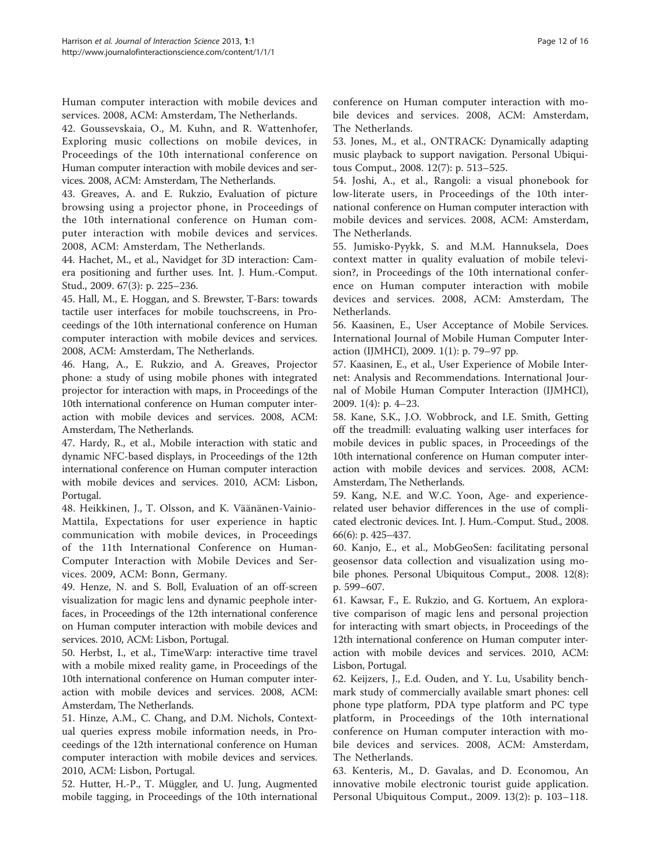Human computer interaction with mobile devices and services. 2008, ACM: Amsterdam, The Netherlands.

42. Goussevskaia, O., M. Kuhn, and R. Wattenhofer, Exploring music collections on mobile devices, in Proceedings of the 10th international conference on Human computer interaction with mobile devices and services. 2008, ACM: Amsterdam, The Netherlands.

43. Greaves, A. and E. Rukzio, Evaluation of picture browsing using a projector phone, in Proceedings of the 10th international conference on Human computer interaction with mobile devices and services. 2008, ACM: Amsterdam, The Netherlands.

44. Hachet, M., et al., Navidget for 3D interaction: Camera positioning and further uses. Int. J. Hum.-Comput. Stud., 2009. 67(3): p. 225–236.

45. Hall, M., E. Hoggan, and S. Brewster, T-Bars: towards tactile user interfaces for mobile touchscreens, in Proceedings of the 10th international conference on Human computer interaction with mobile devices and services. 2008, ACM: Amsterdam, The Netherlands.

46. Hang, A., E. Rukzio, and A. Greaves, Projector phone: a study of using mobile phones with integrated projector for interaction with maps, in Proceedings of the 10th international conference on Human computer interaction with mobile devices and services. 2008, ACM: Amsterdam, The Netherlands.

47. Hardy, R., et al., Mobile interaction with static and dynamic NFC-based displays, in Proceedings of the 12th international conference on Human computer interaction with mobile devices and services. 2010, ACM: Lisbon, Portugal.

48. Heikkinen, J., T. Olsson, and K. Väänänen-Vainio-Mattila, Expectations for user experience in haptic communication with mobile devices, in Proceedings of the 11th International Conference on Human-Computer Interaction with Mobile Devices and Services. 2009, ACM: Bonn, Germany.

49. Henze, N. and S. Boll, Evaluation of an off-screen visualization for magic lens and dynamic peephole interfaces, in Proceedings of the 12th international conference on Human computer interaction with mobile devices and services. 2010, ACM: Lisbon, Portugal.

50. Herbst, I., et al., TimeWarp: interactive time travel with a mobile mixed reality game, in Proceedings of the 10th international conference on Human computer interaction with mobile devices and services. 2008, ACM: Amsterdam, The Netherlands.

51. Hinze, A.M., C. Chang, and D.M. Nichols, Contextual queries express mobile information needs, in Proceedings of the 12th international conference on Human computer interaction with mobile devices and services. 2010, ACM: Lisbon, Portugal.

52. Hutter, H.-P., T. Müggler, and U. Jung, Augmented mobile tagging, in Proceedings of the 10th international

conference on Human computer interaction with mobile devices and services. 2008, ACM: Amsterdam, The Netherlands.

53. Jones, M., et al., ONTRACK: Dynamically adapting music playback to support navigation. Personal Ubiquitous Comput., 2008. 12(7): p. 513–525.

54. Joshi, A., et al., Rangoli: a visual phonebook for low-literate users, in Proceedings of the 10th international conference on Human computer interaction with mobile devices and services. 2008, ACM: Amsterdam, The Netherlands.

55. Jumisko-Pyykk, S. and M.M. Hannuksela, Does context matter in quality evaluation of mobile television?, in Proceedings of the 10th international conference on Human computer interaction with mobile devices and services. 2008, ACM: Amsterdam, The Netherlands.

56. Kaasinen, E., User Acceptance of Mobile Services. International Journal of Mobile Human Computer Interaction (IJMHCI), 2009. 1(1): p. 79–97 pp.

57. Kaasinen, E., et al., User Experience of Mobile Internet: Analysis and Recommendations. International Journal of Mobile Human Computer Interaction (IJMHCI), 2009. 1(4): p. 4–23.

58. Kane, S.K., J.O. Wobbrock, and I.E. Smith, Getting off the treadmill: evaluating walking user interfaces for mobile devices in public spaces, in Proceedings of the 10th international conference on Human computer interaction with mobile devices and services. 2008, ACM: Amsterdam, The Netherlands.

59. Kang, N.E. and W.C. Yoon, Age- and experiencerelated user behavior differences in the use of complicated electronic devices. Int. J. Hum.-Comput. Stud., 2008. 66(6): p. 425–437.

60. Kanjo, E., et al., MobGeoSen: facilitating personal geosensor data collection and visualization using mobile phones. Personal Ubiquitous Comput., 2008. 12(8): p. 599–607.

61. Kawsar, F., E. Rukzio, and G. Kortuem, An explorative comparison of magic lens and personal projection for interacting with smart objects, in Proceedings of the 12th international conference on Human computer interaction with mobile devices and services. 2010, ACM: Lisbon, Portugal.

62. Keijzers, J., E.d. Ouden, and Y. Lu, Usability benchmark study of commercially available smart phones: cell phone type platform, PDA type platform and PC type platform, in Proceedings of the 10th international conference on Human computer interaction with mobile devices and services. 2008, ACM: Amsterdam, The Netherlands.

63. Kenteris, M., D. Gavalas, and D. Economou, An innovative mobile electronic tourist guide application. Personal Ubiquitous Comput., 2009. 13(2): p. 103–118.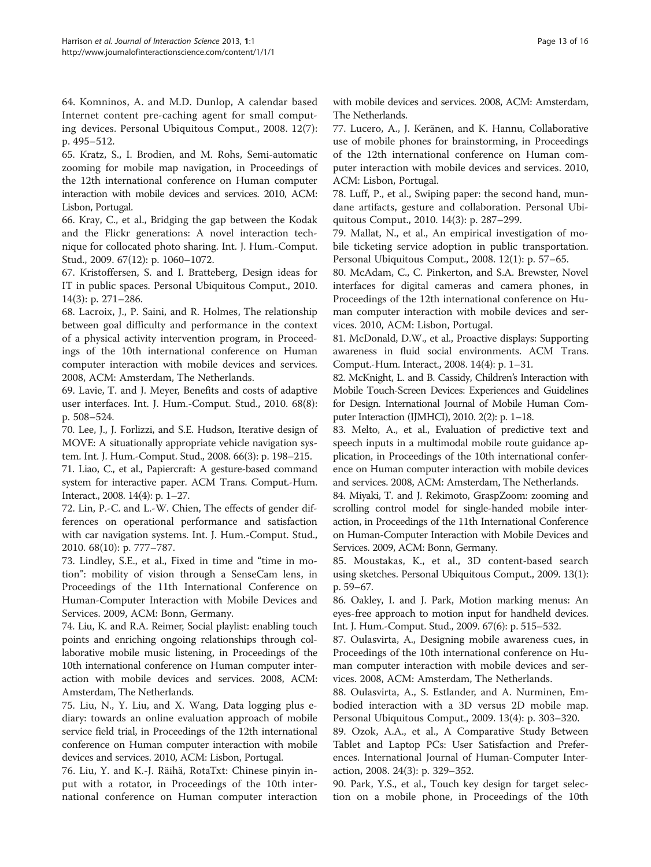64. Komninos, A. and M.D. Dunlop, A calendar based Internet content pre-caching agent for small computing devices. Personal Ubiquitous Comput., 2008. 12(7): p. 495–512.

65. Kratz, S., I. Brodien, and M. Rohs, Semi-automatic zooming for mobile map navigation, in Proceedings of the 12th international conference on Human computer interaction with mobile devices and services. 2010, ACM: Lisbon, Portugal.

66. Kray, C., et al., Bridging the gap between the Kodak and the Flickr generations: A novel interaction technique for collocated photo sharing. Int. J. Hum.-Comput. Stud., 2009. 67(12): p. 1060–1072.

67. Kristoffersen, S. and I. Bratteberg, Design ideas for IT in public spaces. Personal Ubiquitous Comput., 2010. 14(3): p. 271–286.

68. Lacroix, J., P. Saini, and R. Holmes, The relationship between goal difficulty and performance in the context of a physical activity intervention program, in Proceedings of the 10th international conference on Human computer interaction with mobile devices and services. 2008, ACM: Amsterdam, The Netherlands.

69. Lavie, T. and J. Meyer, Benefits and costs of adaptive user interfaces. Int. J. Hum.-Comput. Stud., 2010. 68(8): p. 508–524.

70. Lee, J., J. Forlizzi, and S.E. Hudson, Iterative design of MOVE: A situationally appropriate vehicle navigation system. Int. J. Hum.-Comput. Stud., 2008. 66(3): p. 198–215.

71. Liao, C., et al., Papiercraft: A gesture-based command system for interactive paper. ACM Trans. Comput.-Hum. Interact., 2008. 14(4): p. 1–27.

72. Lin, P.-C. and L.-W. Chien, The effects of gender differences on operational performance and satisfaction with car navigation systems. Int. J. Hum.-Comput. Stud., 2010. 68(10): p. 777–787.

73. Lindley, S.E., et al., Fixed in time and "time in motion": mobility of vision through a SenseCam lens, in Proceedings of the 11th International Conference on Human-Computer Interaction with Mobile Devices and Services. 2009, ACM: Bonn, Germany.

74. Liu, K. and R.A. Reimer, Social playlist: enabling touch points and enriching ongoing relationships through collaborative mobile music listening, in Proceedings of the 10th international conference on Human computer interaction with mobile devices and services. 2008, ACM: Amsterdam, The Netherlands.

75. Liu, N., Y. Liu, and X. Wang, Data logging plus ediary: towards an online evaluation approach of mobile service field trial, in Proceedings of the 12th international conference on Human computer interaction with mobile devices and services. 2010, ACM: Lisbon, Portugal.

76. Liu, Y. and K.-J. Räihä, RotaTxt: Chinese pinyin input with a rotator, in Proceedings of the 10th international conference on Human computer interaction with mobile devices and services. 2008, ACM: Amsterdam, The Netherlands.

77. Lucero, A., J. Keränen, and K. Hannu, Collaborative use of mobile phones for brainstorming, in Proceedings of the 12th international conference on Human computer interaction with mobile devices and services. 2010, ACM: Lisbon, Portugal.

78. Luff, P., et al., Swiping paper: the second hand, mundane artifacts, gesture and collaboration. Personal Ubiquitous Comput., 2010. 14(3): p. 287–299.

79. Mallat, N., et al., An empirical investigation of mobile ticketing service adoption in public transportation. Personal Ubiquitous Comput., 2008. 12(1): p. 57–65.

80. McAdam, C., C. Pinkerton, and S.A. Brewster, Novel interfaces for digital cameras and camera phones, in Proceedings of the 12th international conference on Human computer interaction with mobile devices and services. 2010, ACM: Lisbon, Portugal.

81. McDonald, D.W., et al., Proactive displays: Supporting awareness in fluid social environments. ACM Trans. Comput.-Hum. Interact., 2008. 14(4): p. 1–31.

82. McKnight, L. and B. Cassidy, Children's Interaction with Mobile Touch-Screen Devices: Experiences and Guidelines for Design. International Journal of Mobile Human Computer Interaction (IJMHCI), 2010. 2(2): p. 1–18.

83. Melto, A., et al., Evaluation of predictive text and speech inputs in a multimodal mobile route guidance application, in Proceedings of the 10th international conference on Human computer interaction with mobile devices and services. 2008, ACM: Amsterdam, The Netherlands.

84. Miyaki, T. and J. Rekimoto, GraspZoom: zooming and scrolling control model for single-handed mobile interaction, in Proceedings of the 11th International Conference on Human-Computer Interaction with Mobile Devices and Services. 2009, ACM: Bonn, Germany.

85. Moustakas, K., et al., 3D content-based search using sketches. Personal Ubiquitous Comput., 2009. 13(1): p. 59–67.

86. Oakley, I. and J. Park, Motion marking menus: An eyes-free approach to motion input for handheld devices. Int. J. Hum.-Comput. Stud., 2009. 67(6): p. 515–532.

87. Oulasvirta, A., Designing mobile awareness cues, in Proceedings of the 10th international conference on Human computer interaction with mobile devices and services. 2008, ACM: Amsterdam, The Netherlands.

88. Oulasvirta, A., S. Estlander, and A. Nurminen, Embodied interaction with a 3D versus 2D mobile map. Personal Ubiquitous Comput., 2009. 13(4): p. 303–320.

89. Ozok, A.A., et al., A Comparative Study Between Tablet and Laptop PCs: User Satisfaction and Preferences. International Journal of Human-Computer Interaction, 2008. 24(3): p. 329–352.

90. Park, Y.S., et al., Touch key design for target selection on a mobile phone, in Proceedings of the 10th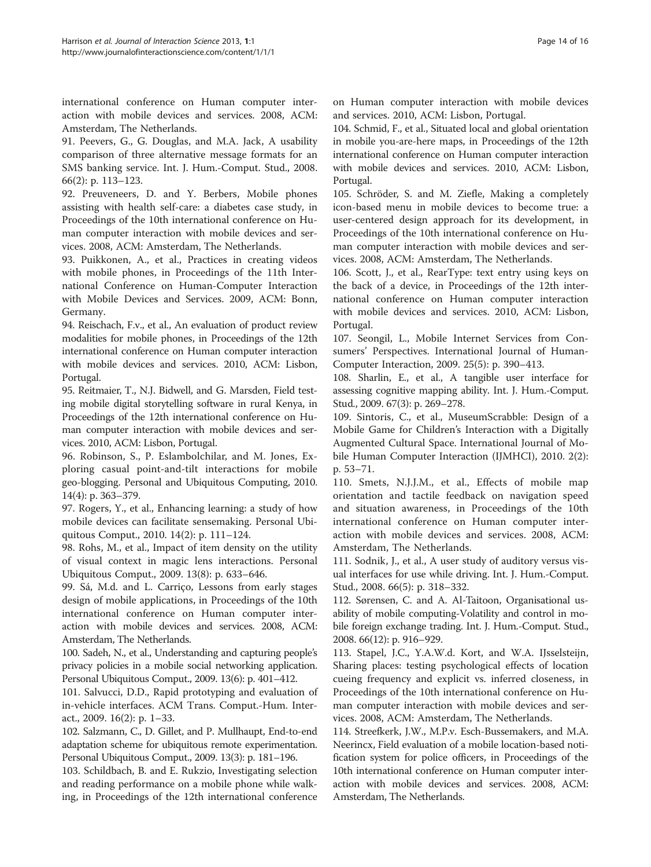international conference on Human computer interaction with mobile devices and services. 2008, ACM: Amsterdam, The Netherlands.

91. Peevers, G., G. Douglas, and M.A. Jack, A usability comparison of three alternative message formats for an SMS banking service. Int. J. Hum.-Comput. Stud., 2008. 66(2): p. 113–123.

92. Preuveneers, D. and Y. Berbers, Mobile phones assisting with health self-care: a diabetes case study, in Proceedings of the 10th international conference on Human computer interaction with mobile devices and services. 2008, ACM: Amsterdam, The Netherlands.

93. Puikkonen, A., et al., Practices in creating videos with mobile phones, in Proceedings of the 11th International Conference on Human-Computer Interaction with Mobile Devices and Services. 2009, ACM: Bonn, Germany.

94. Reischach, F.v., et al., An evaluation of product review modalities for mobile phones, in Proceedings of the 12th international conference on Human computer interaction with mobile devices and services. 2010, ACM: Lisbon, Portugal.

95. Reitmaier, T., N.J. Bidwell, and G. Marsden, Field testing mobile digital storytelling software in rural Kenya, in Proceedings of the 12th international conference on Human computer interaction with mobile devices and services. 2010, ACM: Lisbon, Portugal.

96. Robinson, S., P. Eslambolchilar, and M. Jones, Exploring casual point-and-tilt interactions for mobile geo-blogging. Personal and Ubiquitous Computing, 2010. 14(4): p. 363–379.

97. Rogers, Y., et al., Enhancing learning: a study of how mobile devices can facilitate sensemaking. Personal Ubiquitous Comput., 2010. 14(2): p. 111–124.

98. Rohs, M., et al., Impact of item density on the utility of visual context in magic lens interactions. Personal Ubiquitous Comput., 2009. 13(8): p. 633–646.

99. Sá, M.d. and L. Carriço, Lessons from early stages design of mobile applications, in Proceedings of the 10th international conference on Human computer interaction with mobile devices and services. 2008, ACM: Amsterdam, The Netherlands.

100. Sadeh, N., et al., Understanding and capturing people's privacy policies in a mobile social networking application. Personal Ubiquitous Comput., 2009. 13(6): p. 401–412.

101. Salvucci, D.D., Rapid prototyping and evaluation of in-vehicle interfaces. ACM Trans. Comput.-Hum. Interact., 2009. 16(2): p. 1–33.

102. Salzmann, C., D. Gillet, and P. Mullhaupt, End-to-end adaptation scheme for ubiquitous remote experimentation. Personal Ubiquitous Comput., 2009. 13(3): p. 181–196.

103. Schildbach, B. and E. Rukzio, Investigating selection and reading performance on a mobile phone while walking, in Proceedings of the 12th international conference on Human computer interaction with mobile devices and services. 2010, ACM: Lisbon, Portugal.

104. Schmid, F., et al., Situated local and global orientation in mobile you-are-here maps, in Proceedings of the 12th international conference on Human computer interaction with mobile devices and services. 2010, ACM: Lisbon, Portugal.

105. Schröder, S. and M. Ziefle, Making a completely icon-based menu in mobile devices to become true: a user-centered design approach for its development, in Proceedings of the 10th international conference on Human computer interaction with mobile devices and services. 2008, ACM: Amsterdam, The Netherlands.

106. Scott, J., et al., RearType: text entry using keys on the back of a device, in Proceedings of the 12th international conference on Human computer interaction with mobile devices and services. 2010, ACM: Lisbon, Portugal.

107. Seongil, L., Mobile Internet Services from Consumers' Perspectives. International Journal of Human-Computer Interaction, 2009. 25(5): p. 390–413.

108. Sharlin, E., et al., A tangible user interface for assessing cognitive mapping ability. Int. J. Hum.-Comput. Stud., 2009. 67(3): p. 269–278.

109. Sintoris, C., et al., MuseumScrabble: Design of a Mobile Game for Children's Interaction with a Digitally Augmented Cultural Space. International Journal of Mobile Human Computer Interaction (IJMHCI), 2010. 2(2): p. 53–71.

110. Smets, N.J.J.M., et al., Effects of mobile map orientation and tactile feedback on navigation speed and situation awareness, in Proceedings of the 10th international conference on Human computer interaction with mobile devices and services. 2008, ACM: Amsterdam, The Netherlands.

111. Sodnik, J., et al., A user study of auditory versus visual interfaces for use while driving. Int. J. Hum.-Comput. Stud., 2008. 66(5): p. 318–332.

112. Sørensen, C. and A. Al-Taitoon, Organisational usability of mobile computing-Volatility and control in mobile foreign exchange trading. Int. J. Hum.-Comput. Stud., 2008. 66(12): p. 916–929.

113. Stapel, J.C., Y.A.W.d. Kort, and W.A. IJsselsteijn, Sharing places: testing psychological effects of location cueing frequency and explicit vs. inferred closeness, in Proceedings of the 10th international conference on Human computer interaction with mobile devices and services. 2008, ACM: Amsterdam, The Netherlands.

114. Streefkerk, J.W., M.P.v. Esch-Bussemakers, and M.A. Neerincx, Field evaluation of a mobile location-based notification system for police officers, in Proceedings of the 10th international conference on Human computer interaction with mobile devices and services. 2008, ACM: Amsterdam, The Netherlands.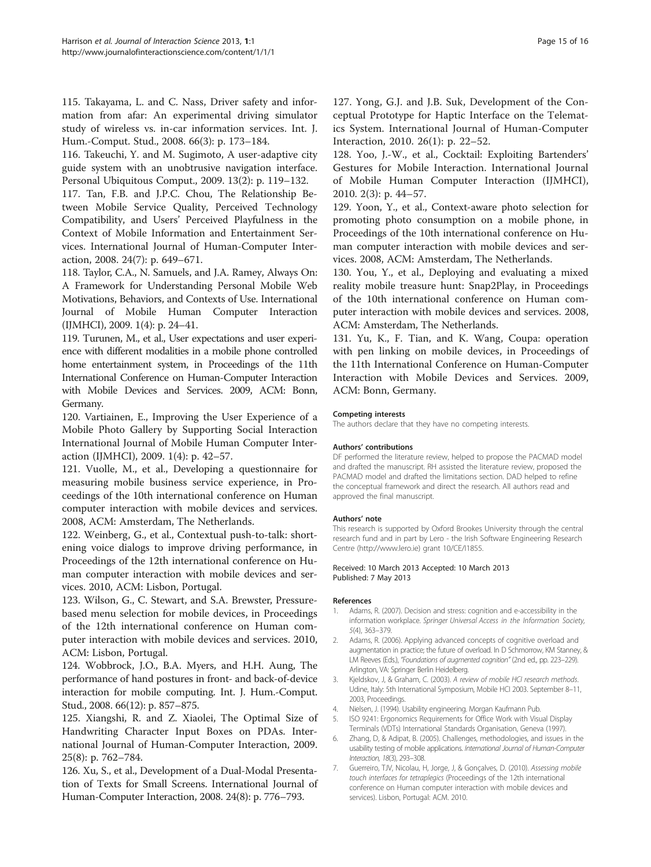<span id="page-14-0"></span>115. Takayama, L. and C. Nass, Driver safety and information from afar: An experimental driving simulator study of wireless vs. in-car information services. Int. J. Hum.-Comput. Stud., 2008. 66(3): p. 173–184.

116. Takeuchi, Y. and M. Sugimoto, A user-adaptive city guide system with an unobtrusive navigation interface. Personal Ubiquitous Comput., 2009. 13(2): p. 119–132.

117. Tan, F.B. and J.P.C. Chou, The Relationship Between Mobile Service Quality, Perceived Technology Compatibility, and Users' Perceived Playfulness in the Context of Mobile Information and Entertainment Services. International Journal of Human-Computer Interaction, 2008. 24(7): p. 649–671.

118. Taylor, C.A., N. Samuels, and J.A. Ramey, Always On: A Framework for Understanding Personal Mobile Web Motivations, Behaviors, and Contexts of Use. International Journal of Mobile Human Computer Interaction (IJMHCI), 2009. 1(4): p. 24–41.

119. Turunen, M., et al., User expectations and user experience with different modalities in a mobile phone controlled home entertainment system, in Proceedings of the 11th International Conference on Human-Computer Interaction with Mobile Devices and Services. 2009, ACM: Bonn, Germany.

120. Vartiainen, E., Improving the User Experience of a Mobile Photo Gallery by Supporting Social Interaction International Journal of Mobile Human Computer Interaction (IJMHCI), 2009. 1(4): p. 42–57.

121. Vuolle, M., et al., Developing a questionnaire for measuring mobile business service experience, in Proceedings of the 10th international conference on Human computer interaction with mobile devices and services. 2008, ACM: Amsterdam, The Netherlands.

122. Weinberg, G., et al., Contextual push-to-talk: shortening voice dialogs to improve driving performance, in Proceedings of the 12th international conference on Human computer interaction with mobile devices and services. 2010, ACM: Lisbon, Portugal.

123. Wilson, G., C. Stewart, and S.A. Brewster, Pressurebased menu selection for mobile devices, in Proceedings of the 12th international conference on Human computer interaction with mobile devices and services. 2010, ACM: Lisbon, Portugal.

124. Wobbrock, J.O., B.A. Myers, and H.H. Aung, The performance of hand postures in front- and back-of-device interaction for mobile computing. Int. J. Hum.-Comput. Stud., 2008. 66(12): p. 857–875.

125. Xiangshi, R. and Z. Xiaolei, The Optimal Size of Handwriting Character Input Boxes on PDAs. International Journal of Human-Computer Interaction, 2009. 25(8): p. 762–784.

126. Xu, S., et al., Development of a Dual-Modal Presentation of Texts for Small Screens. International Journal of Human-Computer Interaction, 2008. 24(8): p. 776–793.

127. Yong, G.J. and J.B. Suk, Development of the Conceptual Prototype for Haptic Interface on the Telematics System. International Journal of Human-Computer Interaction, 2010. 26(1): p. 22–52.

128. Yoo, J.-W., et al., Cocktail: Exploiting Bartenders' Gestures for Mobile Interaction. International Journal of Mobile Human Computer Interaction (IJMHCI), 2010. 2(3): p. 44–57.

129. Yoon, Y., et al., Context-aware photo selection for promoting photo consumption on a mobile phone, in Proceedings of the 10th international conference on Human computer interaction with mobile devices and services. 2008, ACM: Amsterdam, The Netherlands.

130. You, Y., et al., Deploying and evaluating a mixed reality mobile treasure hunt: Snap2Play, in Proceedings of the 10th international conference on Human computer interaction with mobile devices and services. 2008, ACM: Amsterdam, The Netherlands.

131. Yu, K., F. Tian, and K. Wang, Coupa: operation with pen linking on mobile devices, in Proceedings of the 11th International Conference on Human-Computer Interaction with Mobile Devices and Services. 2009, ACM: Bonn, Germany.

#### Competing interests

The authors declare that they have no competing interests.

#### Authors' contributions

DF performed the literature review, helped to propose the PACMAD model and drafted the manuscript. RH assisted the literature review, proposed the PACMAD model and drafted the limitations section. DAD helped to refine the conceptual framework and direct the research. All authors read and approved the final manuscript.

#### Authors' note

This research is supported by Oxford Brookes University through the central research fund and in part by Lero - the Irish Software Engineering Research Centre ([http://www.lero.ie\)](http://www.lero.ie) grant 10/CE/I1855.

#### Received: 10 March 2013 Accepted: 10 March 2013 Published: 7 May 2013

#### References

- 1. Adams, R. (2007). Decision and stress: cognition and e-accessibility in the information workplace. Springer Universal Access in the Information Society, 5(4), 363–379.
- 2. Adams, R. (2006). Applying advanced concepts of cognitive overload and augmentation in practice; the future of overload. In D Schmorrow, KM Stanney, & LM Reeves (Eds.), "Foundations of augmented cognition" (2nd ed., pp. 223–229). Arlington, VA: Springer Berlin Heidelberg.
- 3. Kjeldskov, J, & Graham, C. (2003). A review of mobile HCI research methods. Udine, Italy: 5th International Symposium, Mobile HCI 2003. September 8–11, 2003, Proceedings.
- 4. Nielsen, J. (1994). Usability engineering. Morgan Kaufmann Pub.
- 5. ISO 9241: Ergonomics Requirements for Office Work with Visual Display Terminals (VDTs) International Standards Organisation, Geneva (1997).
- 6. Zhang, D, & Adipat, B. (2005). Challenges, methodologies, and issues in the usability testing of mobile applications. International Journal of Human-Computer Interaction, 18(3), 293–308.
- 7. Guerreiro, TJV, Nicolau, H, Jorge, J, & Gonçalves, D. (2010). Assessing mobile touch interfaces for tetraplegics (Proceedings of the 12th international conference on Human computer interaction with mobile devices and services). Lisbon, Portugal: ACM. 2010.